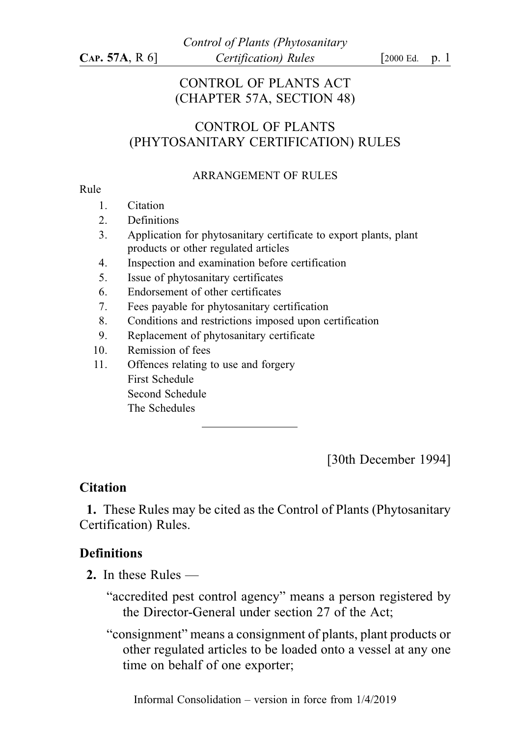## CONTROL OF PLANTS ACT (CHAPTER 57A, SECTION 48)

# CONTROL OF PLANTS (PHYTOSANITARY CERTIFICATION) RULES

#### ARRANGEMENT OF RULES

#### Rule

- 1. Citation
- 2. Definitions
- 3. Application for phytosanitary certificate to export plants, plant products or other regulated articles
- 4. Inspection and examination before certification
- 5. Issue of phytosanitary certificates
- 6. Endorsement of other certificates
- 7. Fees payable for phytosanitary certification
- 8. Conditions and restrictions imposed upon certification
- 9. Replacement of phytosanitary certificate
- 10. Remission of fees
- 11. Offences relating to use and forgery First Schedule Second Schedule The Schedules

[30th December 1994]

# **Citation**

1. These Rules may be cited as the Control of Plants (Phytosanitary Certification) Rules.

# **Definitions**

- 2. In these Rules
	- "accredited pest control agency" means a person registered by the Director-General under section 27 of the Act;
	- "consignment" means a consignment of plants, plant products or other regulated articles to be loaded onto a vessel at any one time on behalf of one exporter;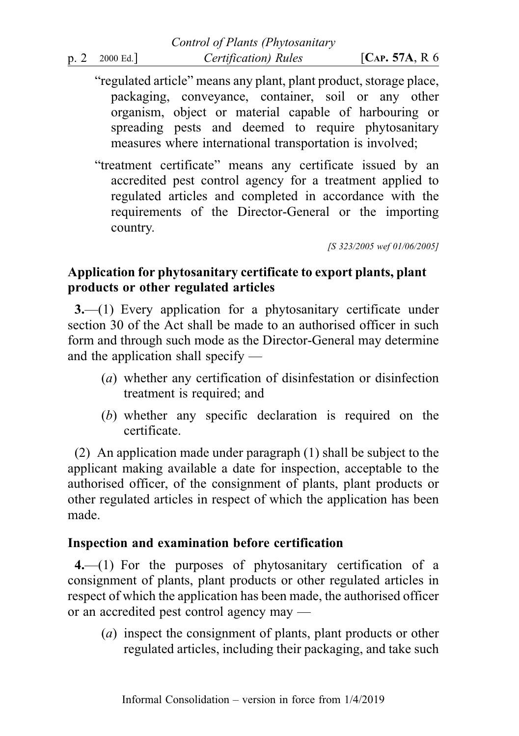- "regulated article" means any plant, plant product, storage place, packaging, conveyance, container, soil or any other organism, object or material capable of harbouring or spreading pests and deemed to require phytosanitary measures where international transportation is involved;
- "treatment certificate" means any certificate issued by an accredited pest control agency for a treatment applied to regulated articles and completed in accordance with the requirements of the Director-General or the importing country.

[S 323/2005 wef 01/06/2005]

# Application for phytosanitary certificate to export plants, plant products or other regulated articles

3.—(1) Every application for a phytosanitary certificate under section 30 of the Act shall be made to an authorised officer in such form and through such mode as the Director-General may determine and the application shall specify —

- (a) whether any certification of disinfestation or disinfection treatment is required; and
- (b) whether any specific declaration is required on the certificate.

(2) An application made under paragraph (1) shall be subject to the applicant making available a date for inspection, acceptable to the authorised officer, of the consignment of plants, plant products or other regulated articles in respect of which the application has been made.

### Inspection and examination before certification

4.—(1) For the purposes of phytosanitary certification of a consignment of plants, plant products or other regulated articles in respect of which the application has been made, the authorised officer or an accredited pest control agency may —

(a) inspect the consignment of plants, plant products or other regulated articles, including their packaging, and take such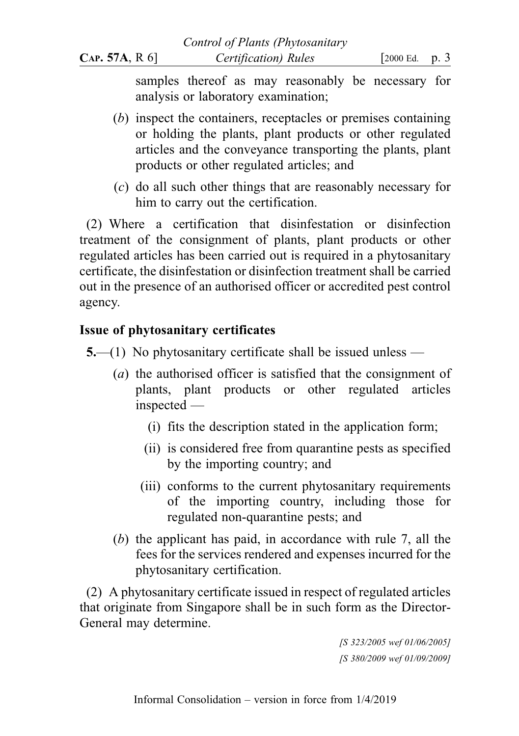samples thereof as may reasonably be necessary for analysis or laboratory examination;

- (b) inspect the containers, receptacles or premises containing or holding the plants, plant products or other regulated articles and the conveyance transporting the plants, plant products or other regulated articles; and
- (c) do all such other things that are reasonably necessary for him to carry out the certification.

(2) Where a certification that disinfestation or disinfection treatment of the consignment of plants, plant products or other regulated articles has been carried out is required in a phytosanitary certificate, the disinfestation or disinfection treatment shall be carried out in the presence of an authorised officer or accredited pest control agency.

# Issue of phytosanitary certificates

- 5.—(1) No phytosanitary certificate shall be issued unless
	- (a) the authorised officer is satisfied that the consignment of plants, plant products or other regulated articles inspected —
		- (i) fits the description stated in the application form;
		- (ii) is considered free from quarantine pests as specified by the importing country; and
		- (iii) conforms to the current phytosanitary requirements of the importing country, including those for regulated non-quarantine pests; and
	- (b) the applicant has paid, in accordance with rule 7, all the fees for the services rendered and expenses incurred for the phytosanitary certification.

(2) A phytosanitary certificate issued in respect of regulated articles that originate from Singapore shall be in such form as the Director-General may determine.

> [S 323/2005 wef 01/06/2005] [S 380/2009 wef 01/09/2009]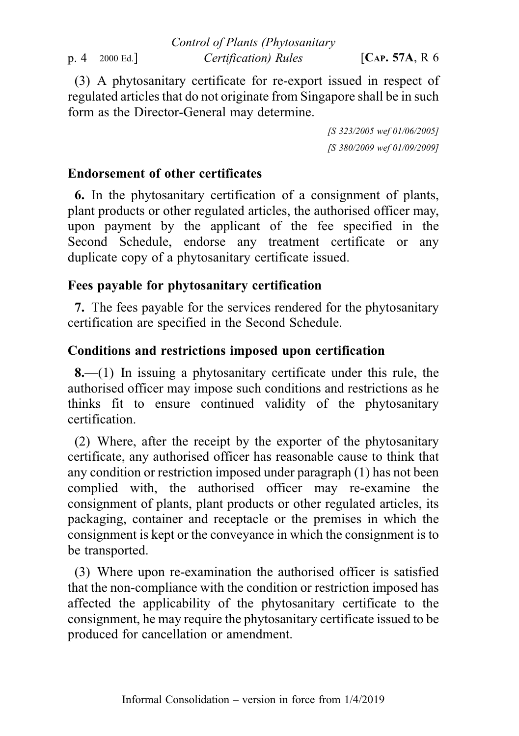(3) A phytosanitary certificate for re-export issued in respect of regulated articles that do not originate from Singapore shall be in such form as the Director-General may determine.

> [S 323/2005 wef 01/06/2005] [S 380/2009 wef 01/09/2009]

### Endorsement of other certificates

6. In the phytosanitary certification of a consignment of plants, plant products or other regulated articles, the authorised officer may, upon payment by the applicant of the fee specified in the Second Schedule, endorse any treatment certificate or any duplicate copy of a phytosanitary certificate issued.

### Fees payable for phytosanitary certification

7. The fees payable for the services rendered for the phytosanitary certification are specified in the Second Schedule.

# Conditions and restrictions imposed upon certification

 $8-(1)$  In issuing a phytosanitary certificate under this rule, the authorised officer may impose such conditions and restrictions as he thinks fit to ensure continued validity of the phytosanitary certification.

(2) Where, after the receipt by the exporter of the phytosanitary certificate, any authorised officer has reasonable cause to think that any condition or restriction imposed under paragraph (1) has not been complied with, the authorised officer may re-examine the consignment of plants, plant products or other regulated articles, its packaging, container and receptacle or the premises in which the consignment is kept or the conveyance in which the consignment is to be transported.

(3) Where upon re-examination the authorised officer is satisfied that the non-compliance with the condition or restriction imposed has affected the applicability of the phytosanitary certificate to the consignment, he may require the phytosanitary certificate issued to be produced for cancellation or amendment.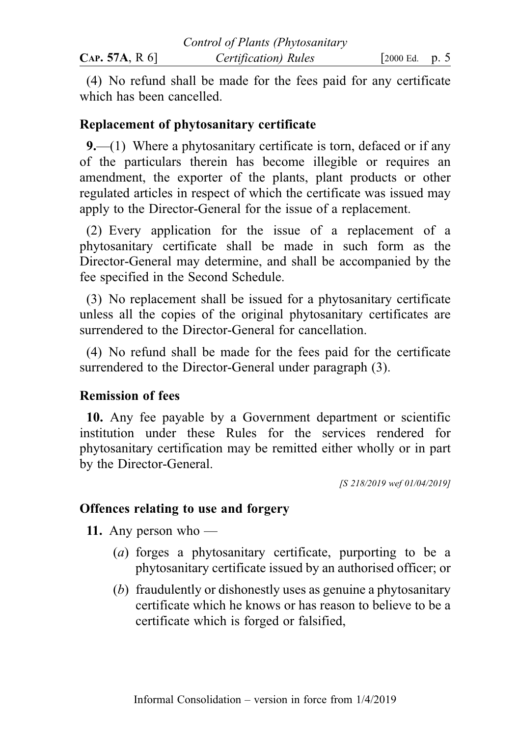(4) No refund shall be made for the fees paid for any certificate which has been cancelled.

### Replacement of phytosanitary certificate

9.—(1) Where a phytosanitary certificate is torn, defaced or if any of the particulars therein has become illegible or requires an amendment, the exporter of the plants, plant products or other regulated articles in respect of which the certificate was issued may apply to the Director-General for the issue of a replacement.

(2) Every application for the issue of a replacement of a phytosanitary certificate shall be made in such form as the Director-General may determine, and shall be accompanied by the fee specified in the Second Schedule.

(3) No replacement shall be issued for a phytosanitary certificate unless all the copies of the original phytosanitary certificates are surrendered to the Director-General for cancellation.

(4) No refund shall be made for the fees paid for the certificate surrendered to the Director-General under paragraph (3).

### Remission of fees

10. Any fee payable by a Government department or scientific institution under these Rules for the services rendered for phytosanitary certification may be remitted either wholly or in part by the Director-General.

[S 218/2019 wef 01/04/2019]

### Offences relating to use and forgery

**11.** Any person who —

- (a) forges a phytosanitary certificate, purporting to be a phytosanitary certificate issued by an authorised officer; or
- (b) fraudulently or dishonestly uses as genuine a phytosanitary certificate which he knows or has reason to believe to be a certificate which is forged or falsified,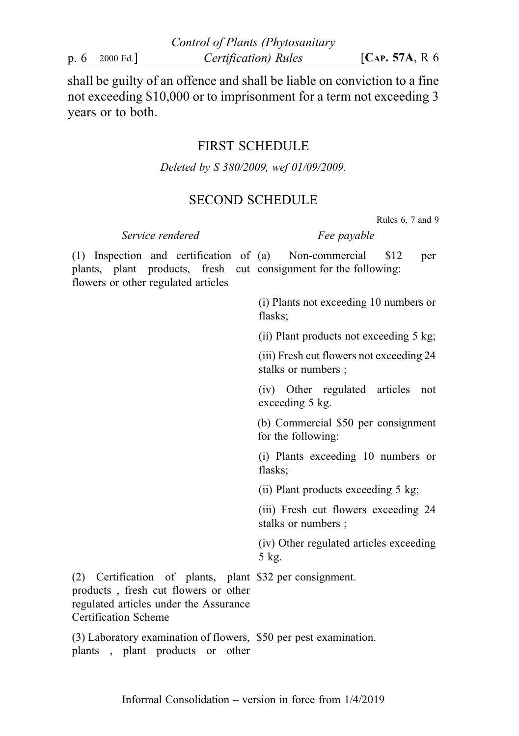shall be guilty of an offence and shall be liable on conviction to a fine not exceeding \$10,000 or to imprisonment for a term not exceeding 3 years or to both.

#### FIRST SCHEDULE

Deleted by S 380/2009, wef 01/09/2009.

#### SECOND SCHEDULE

Rules 6, 7 and 9

Service rendered Fee payable

(1) Inspection and certification of plants, plant products, fresh cut consignment for the following: flowers or other regulated articles Non-commercial \$12 per

> (i) Plants not exceeding 10 numbers or flasks;

> (ii) Plant products not exceeding 5 kg;

(iii) Fresh cut flowers not exceeding 24 stalks or numbers ;

(iv) Other regulated articles not exceeding 5 kg.

(b) Commercial \$50 per consignment for the following:

(i) Plants exceeding 10 numbers or flasks;

(ii) Plant products exceeding 5 kg;

(iii) Fresh cut flowers exceeding 24 stalks or numbers ;

(iv) Other regulated articles exceeding 5 kg.

(2) Certification of plants, plant \$32 per consignment. products , fresh cut flowers or other regulated articles under the Assurance Certification Scheme

(3) Laboratory examination of flowers, \$50 per pest examination. plants , plant products or other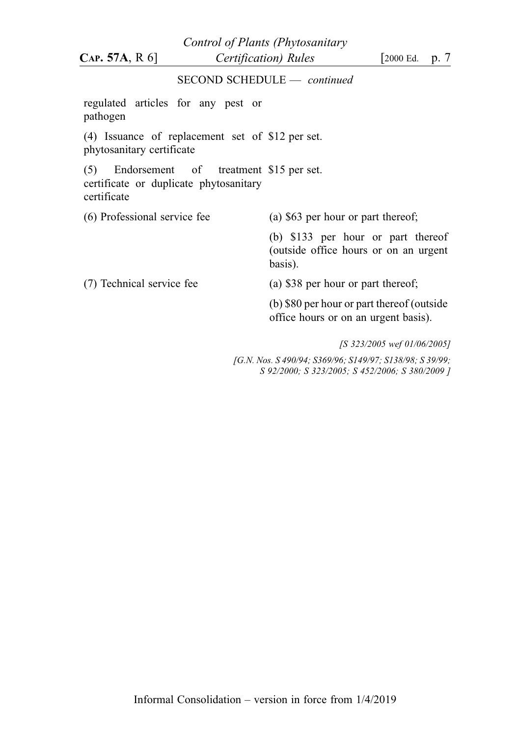SECOND SCHEDULE — continued regulated articles for any pest or pathogen (4) Issuance of replacement set of \$12 per set. phytosanitary certificate (5) Endorsement of treatment \$15 per set. certificate or duplicate phytosanitary certificate (6) Professional service fee (a) \$63 per hour or part thereof; (b) \$133 per hour or part thereof (outside office hours or on an urgent basis). (7) Technical service fee (a) \$38 per hour or part thereof; (b) \$80 per hour or part thereof (outside office hours or on an urgent basis). [S 323/2005 wef 01/06/2005] Control of Plants (Phytosanitary  $CAP. 57A, R 6$   $\qquad \qquad$  *Certification*) Rules  $\qquad \qquad$  [2000 Ed. p. 7

> [G.N. Nos. S 490/94; S369/96; S149/97; S138/98; S 39/99; S 92/2000; S 323/2005; S 452/2006; S 380/2009 ]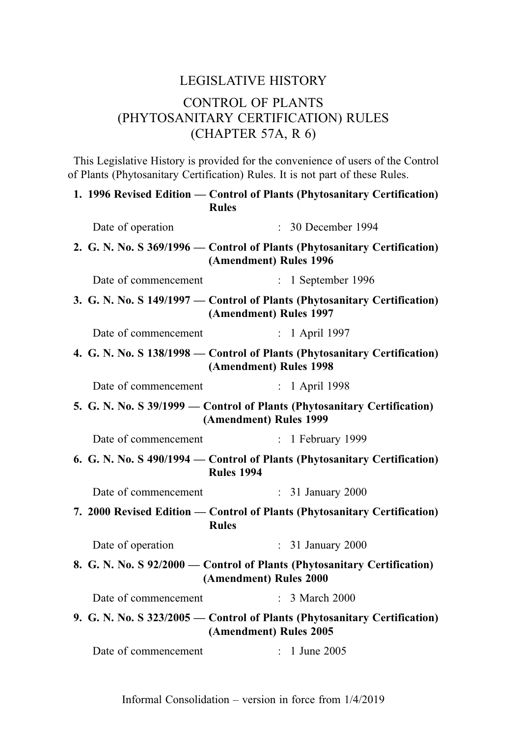# LEGISLATIVE HISTORY CONTROL OF PLANTS (PHYTOSANITARY CERTIFICATION) RULES (CHAPTER 57A, R 6)

This Legislative History is provided for the convenience of users of the Control of Plants (Phytosanitary Certification) Rules. It is not part of these Rules.

|                                                                                                     | 1. 1996 Revised Edition — Control of Plants (Phytosanitary Certification)<br><b>Rules</b>           |
|-----------------------------------------------------------------------------------------------------|-----------------------------------------------------------------------------------------------------|
| Date of operation                                                                                   | $: 30$ December 1994                                                                                |
|                                                                                                     | 2. G. N. No. S 369/1996 – Control of Plants (Phytosanitary Certification)<br>(Amendment) Rules 1996 |
| Date of commencement                                                                                | $: 1$ September 1996                                                                                |
|                                                                                                     | 3. G. N. No. S 149/1997 – Control of Plants (Phytosanitary Certification)<br>(Amendment) Rules 1997 |
| Date of commencement                                                                                | : 1 April 1997                                                                                      |
| 4. G. N. No. S 138/1998 – Control of Plants (Phytosanitary Certification)<br>(Amendment) Rules 1998 |                                                                                                     |
| Date of commencement                                                                                | : 1 April 1998                                                                                      |
| 5. G. N. No. S 39/1999 — Control of Plants (Phytosanitary Certification)<br>(Amendment) Rules 1999  |                                                                                                     |
| Date of commencement                                                                                | $: 1$ February 1999                                                                                 |
| 6. G. N. No. S 490/1994 — Control of Plants (Phytosanitary Certification)<br><b>Rules 1994</b>      |                                                                                                     |
| Date of commencement                                                                                | : 31 January 2000                                                                                   |
| 7. 2000 Revised Edition — Control of Plants (Phytosanitary Certification)<br><b>Rules</b>           |                                                                                                     |
| Date of operation                                                                                   | : 31 January 2000                                                                                   |
|                                                                                                     | 8. G. N. No. S 92/2000 — Control of Plants (Phytosanitary Certification)<br>(Amendment) Rules 2000  |
| Date of commencement                                                                                | $\therefore$ 3 March 2000                                                                           |
|                                                                                                     | 9. G. N. No. S 323/2005 — Control of Plants (Phytosanitary Certification)<br>(Amendment) Rules 2005 |
| Date of commencement                                                                                | $: 1$ June 2005                                                                                     |